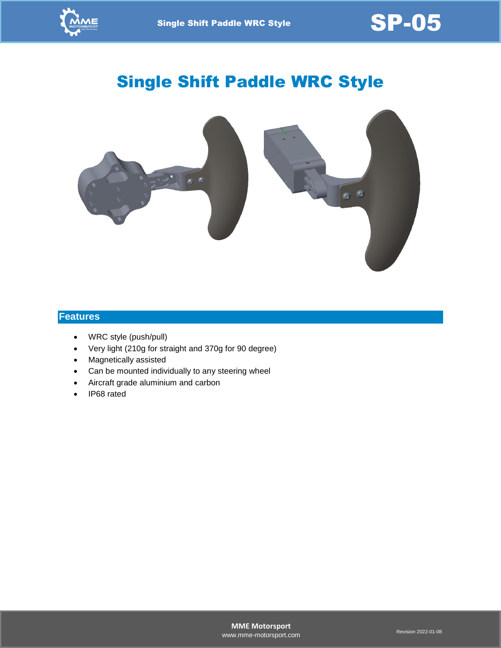

Single Shift Paddle WRC Style  $\text{SP-05}$ 

# Single Shift Paddle WRC Style



#### **Features**

- WRC style (push/pull)
- Very light (210g for straight and 370g for 90 degree)
- Magnetically assisted
- Can be mounted individually to any steering wheel
- Aircraft grade aluminium and carbon
- IP68 rated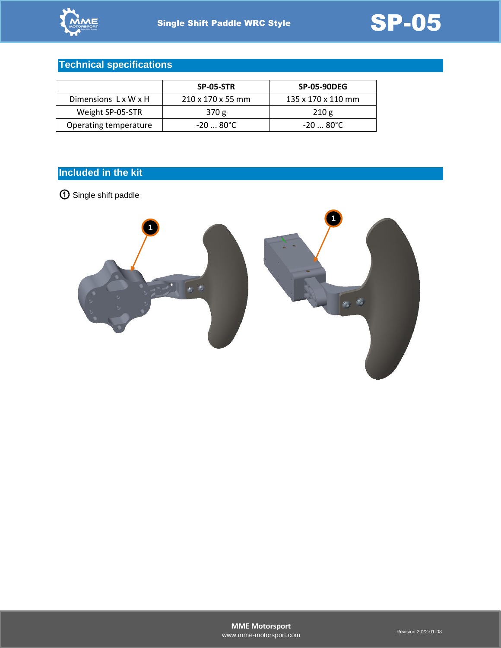# **Technical specifications**

|                       | SP-05-STR                     | <b>SP-05-90DEG</b>             |
|-----------------------|-------------------------------|--------------------------------|
| Dimensions L x W x H  | $210 \times 170 \times 55$ mm | $135 \times 170 \times 110$ mm |
| Weight SP-05-STR      | 370 g                         | 210g                           |
| Operating temperature | -20  80°C                     | -20  80°C                      |

# **Included in the kit**

① Single shift paddle

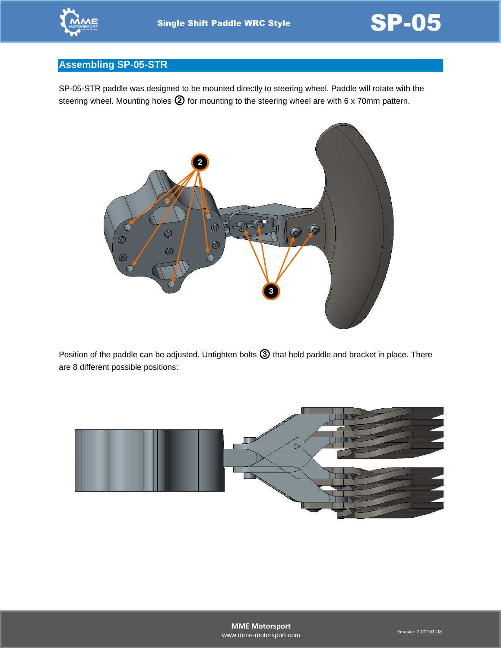

# **Assembling SP-05-STR**

SP-05-STR paddle was designed to be mounted directly to steering wheel. Paddle will rotate with the steering wheel. Mounting holes  $\circled{2}$  for mounting to the steering wheel are with 6 x 70mm pattern.



Position of the paddle can be adjusted. Untighten bolts  $\textcircled{3}$  that hold paddle and bracket in place. There are 8 different possible positions:

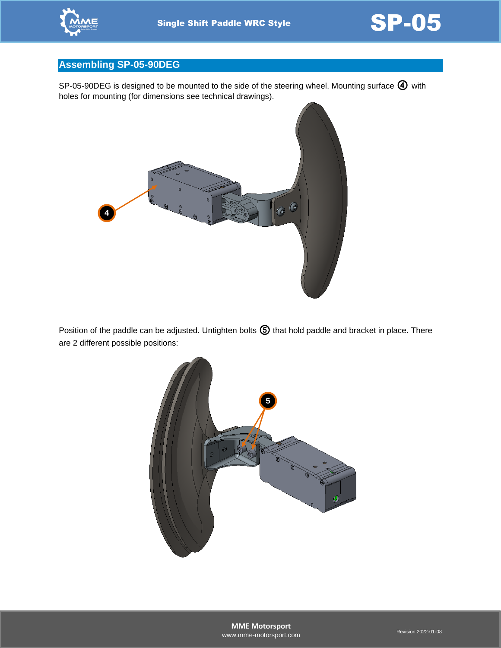



# **Assembling SP-05-90DEG**

SP-05-90DEG is designed to be mounted to the side of the steering wheel. Mounting surface  $\bigoplus$  with holes for mounting (for dimensions see technical drawings).



Position of the paddle can be adjusted. Untighten bolts  $\bigcirc$  that hold paddle and bracket in place. There are 2 different possible positions:

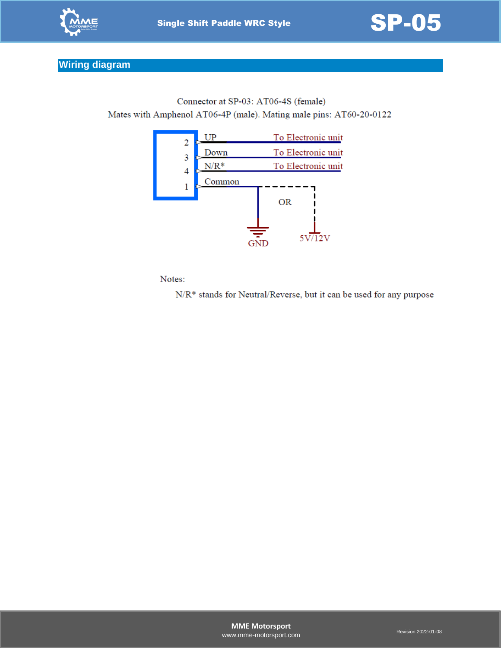



# **Wiring diagram**

Connector at SP-03: AT06-4S (female) Mates with Amphenol AT06-4P (male). Mating male pins: AT60-20-0122



Notes:

N/R\* stands for Neutral/Reverse, but it can be used for any purpose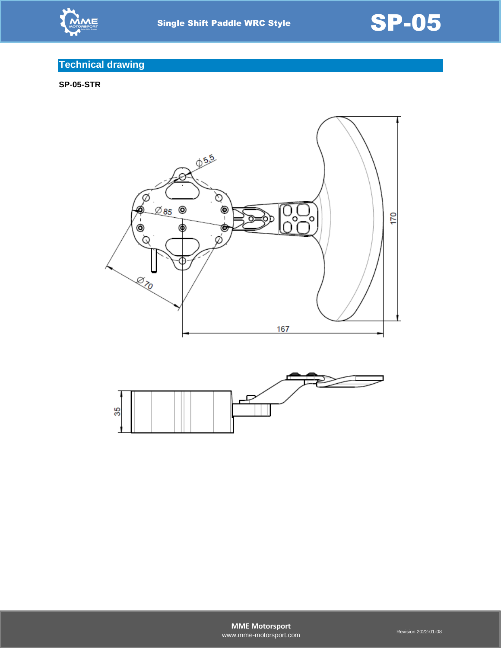



# **Technical drawing**

**SP-05-STR**